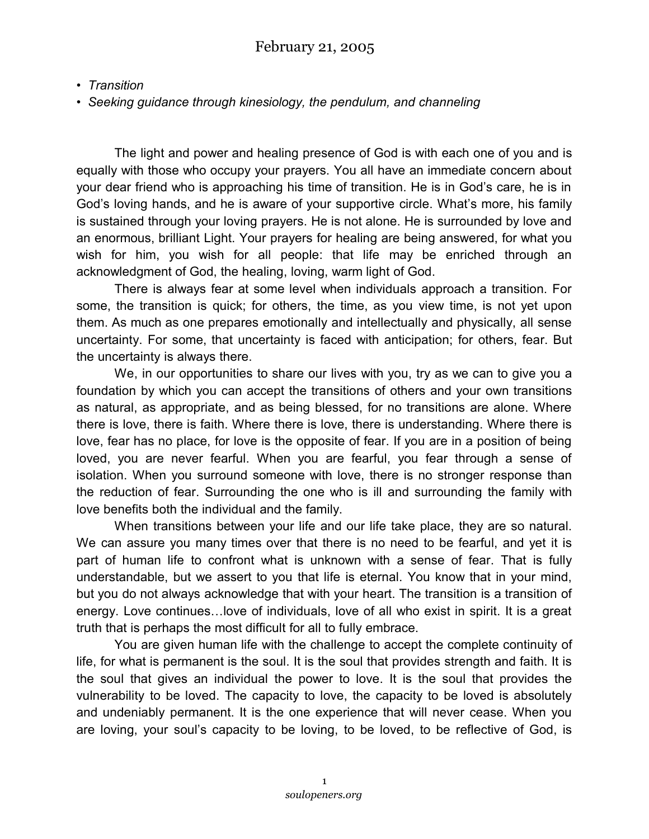*• Transition*

*• Seeking guidance through kinesiology, the pendulum, and channeling*

The light and power and healing presence of God is with each one of you and is equally with those who occupy your prayers. You all have an immediate concern about your dear friend who is approaching his time of transition. He is in God's care, he is in God's loving hands, and he is aware of your supportive circle. What's more, his family is sustained through your loving prayers. He is not alone. He is surrounded by love and an enormous, brilliant Light. Your prayers for healing are being answered, for what you wish for him, you wish for all people: that life may be enriched through an acknowledgment of God, the healing, loving, warm light of God.

There is always fear at some level when individuals approach a transition. For some, the transition is quick; for others, the time, as you view time, is not yet upon them. As much as one prepares emotionally and intellectually and physically, all sense uncertainty. For some, that uncertainty is faced with anticipation; for others, fear. But the uncertainty is always there.

We, in our opportunities to share our lives with you, try as we can to give you a foundation by which you can accept the transitions of others and your own transitions as natural, as appropriate, and as being blessed, for no transitions are alone. Where there is love, there is faith. Where there is love, there is understanding. Where there is love, fear has no place, for love is the opposite of fear. If you are in a position of being loved, you are never fearful. When you are fearful, you fear through a sense of isolation. When you surround someone with love, there is no stronger response than the reduction of fear. Surrounding the one who is ill and surrounding the family with love benefits both the individual and the family.

When transitions between your life and our life take place, they are so natural. We can assure you many times over that there is no need to be fearful, and yet it is part of human life to confront what is unknown with a sense of fear. That is fully understandable, but we assert to you that life is eternal. You know that in your mind, but you do not always acknowledge that with your heart. The transition is a transition of energy. Love continues…love of individuals, love of all who exist in spirit. It is a great truth that is perhaps the most difficult for all to fully embrace.

You are given human life with the challenge to accept the complete continuity of life, for what is permanent is the soul. It is the soul that provides strength and faith. It is the soul that gives an individual the power to love. It is the soul that provides the vulnerability to be loved. The capacity to love, the capacity to be loved is absolutely and undeniably permanent. It is the one experience that will never cease. When you are loving, your soul's capacity to be loving, to be loved, to be reflective of God, is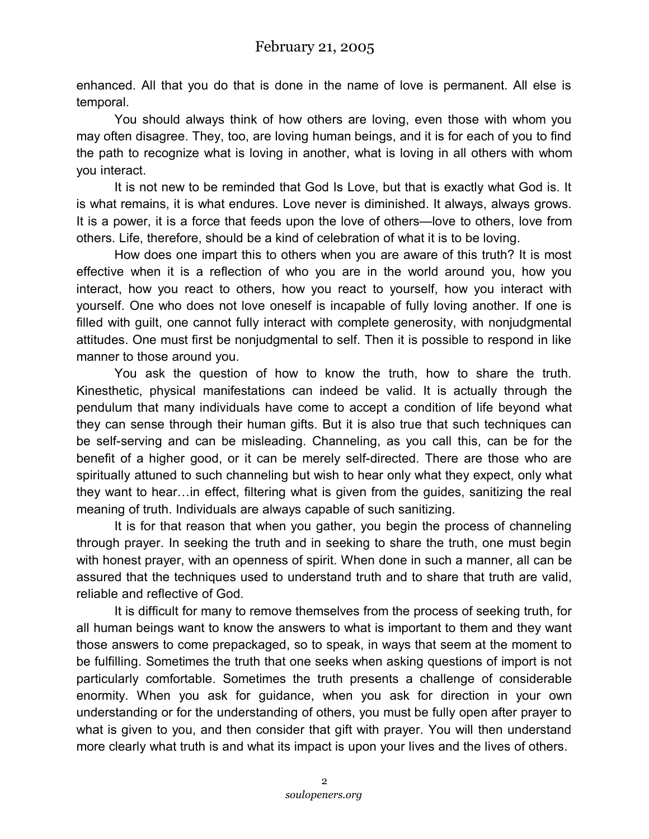enhanced. All that you do that is done in the name of love is permanent. All else is temporal.

You should always think of how others are loving, even those with whom you may often disagree. They, too, are loving human beings, and it is for each of you to find the path to recognize what is loving in another, what is loving in all others with whom you interact.

It is not new to be reminded that God Is Love, but that is exactly what God is. It is what remains, it is what endures. Love never is diminished. It always, always grows. It is a power, it is a force that feeds upon the love of others—love to others, love from others. Life, therefore, should be a kind of celebration of what it is to be loving.

How does one impart this to others when you are aware of this truth? It is most effective when it is a reflection of who you are in the world around you, how you interact, how you react to others, how you react to yourself, how you interact with yourself. One who does not love oneself is incapable of fully loving another. If one is filled with guilt, one cannot fully interact with complete generosity, with nonjudgmental attitudes. One must first be nonjudgmental to self. Then it is possible to respond in like manner to those around you.

You ask the question of how to know the truth, how to share the truth. Kinesthetic, physical manifestations can indeed be valid. It is actually through the pendulum that many individuals have come to accept a condition of life beyond what they can sense through their human gifts. But it is also true that such techniques can be self-serving and can be misleading. Channeling, as you call this, can be for the benefit of a higher good, or it can be merely self-directed. There are those who are spiritually attuned to such channeling but wish to hear only what they expect, only what they want to hear…in effect, filtering what is given from the guides, sanitizing the real meaning of truth. Individuals are always capable of such sanitizing.

It is for that reason that when you gather, you begin the process of channeling through prayer. In seeking the truth and in seeking to share the truth, one must begin with honest prayer, with an openness of spirit. When done in such a manner, all can be assured that the techniques used to understand truth and to share that truth are valid, reliable and reflective of God.

It is difficult for many to remove themselves from the process of seeking truth, for all human beings want to know the answers to what is important to them and they want those answers to come prepackaged, so to speak, in ways that seem at the moment to be fulfilling. Sometimes the truth that one seeks when asking questions of import is not particularly comfortable. Sometimes the truth presents a challenge of considerable enormity. When you ask for guidance, when you ask for direction in your own understanding or for the understanding of others, you must be fully open after prayer to what is given to you, and then consider that gift with prayer. You will then understand more clearly what truth is and what its impact is upon your lives and the lives of others.